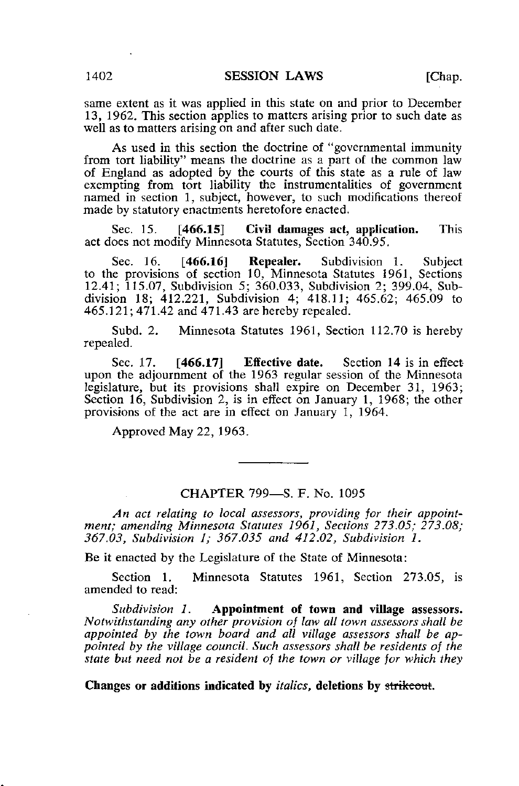same extent as it was applied in this state on and prior to December 13, 1962. This section applies to matters arising prior to such date as well as to matters arising on and after such date.

As used in this section the doctrine of "governmental immunity from tort liability" means the doctrine as a part of the common law of England as adopted by the courts of this state as a rule of law exempting from tort liability the instrumentalities of government named in section 1, subject, however, to such modifications thereof made by statutory enactments heretofore enacted.

Sec. 15. **[466.15]** Civil damages act, application. This act does not modify Minnesota Statutes, Section 340.95.

Sec. 16. [466.16] Repealer. Subdivision 1. Subject to the provisions of section 10, Minnesota Statutes 1961, Sections 12.41; 115.07, Subdivision 5; 360.033, Subdivision 2; 399.04, Subdivision 18; 412.221, Subdivision 4; 418.11; 465.62; 465.09 to 465.121; 471.42 and 471.43 are hereby repealed.

Subd. 2. Minnesota Statutes 1961, Section 112.70 is hereby repealed.

Sec. 17. **[466.17]** Effective date. Section 14 is in effect upon the adjournment of the 1963 regular session of the Minnesota legislature, but its provisions shall expire on December 31, 1963; Section 16, Subdivision 2, is in effect on January 1, 1968; the other provisions of the act are in effect on January 1, 1964.

Approved May 22, 1963.

## CHAPTER 799—S. F. No. 1095

An act relating to local assessors, providing jor their appointment; amending Minnesota Statutes 1961, Sections 273.05; 273.08; 367.03, Subdivision 1; 367.035 and 412.02, Subdivision 1.

Be it enacted by the Legislature of the State of Minnesota:

Section 1. Minnesota Statutes 1961, Section 273.05, is amended to read:

Subdivision 1. Appointment of town and village assessors. Notwithstanding any other provision of law all town assessors shall be appointed by the town board and all village assessors shall be appointed by the village council. Such assessors shall be residents of the state but need not be a resident of the town or village for which they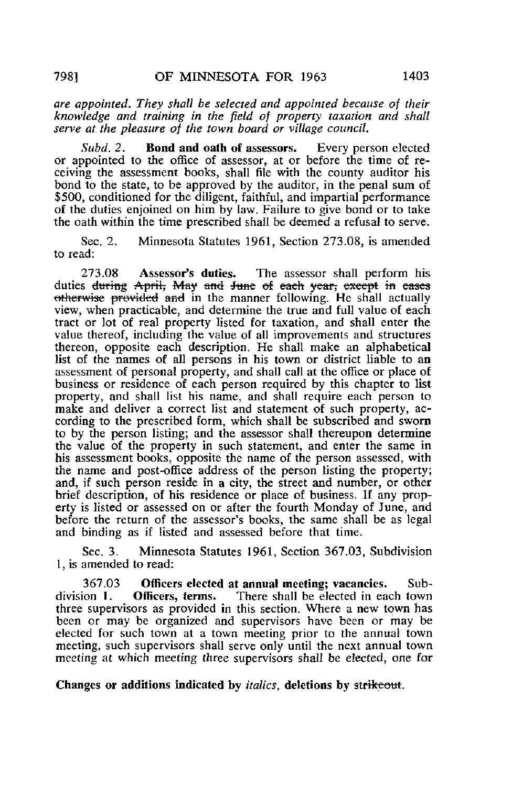are appointed. They shall be selected and appointed because of their knowledge and training in the field of property taxation and shall serve at the pleasure of the town board or village council.

Subd. 2. **Bond and oath of assessors.** Every person elected or appointed to the office of assessor, at or before the time of receiving the assessment books, shall file with the county auditor his bond to the state, to be approved by the auditor, in the penal sum of \$500, conditioned for the diligent, faithful, and impartial performance of the duties enjoined on him by law. Failure to give bond or to take the oath within the time prescribed shall be deemed a refusal to serve.

Sec. 2. Minnesota Statutes 1961, Section 273.08, is amended to read:

273.08 Assessor's duties. The assessor shall perform his duties <del>during April, May and June of each year, except</del> in eases otherwise provided and in the manner following. He shall actually view, when practicable, and determine the true and full value of each tract or lot of real property listed for taxation, and shall enter the value thereof, including the value of all improvements and structures thereon, opposite each description. He shall make an alphabetical list of the names of all persons in his town or district liable to an assessment of personal property, and shall call at the office or place of business or residence of each person required by this chapter to list property, and shall list his name, and shall require each person to make and deliver a correct list and statement of such property, according to the prescribed form, which shall be subscribed and sworn to by the person listing; and the assessor shall thereupon determine the value of the property in such statement, and enter the same in his assessment books, opposite the name of the person assessed, with the name and post-office address of the person listing the property; and, if such person reside in a city, the street and number, or other brief description, of his residence or place of business. If any property is listed or assessed on or after the fourth Monday of June, and before the return of the assessor's books, the same shall be as legal and binding as if listed and assessed before that time.

Sec. 3. Minnesota Statutes 1961, Section 367.03, Subdivision 1, is amended to read:

367.03 Officers elected at annual meeting; vacancies. Sub-<br>division 1. Officers, terms. There shall be elected in each town There shall be elected in each town. three supervisors as provided in this section. Where a new town has been or may be organized and supervisors have been or may be elected for such town at a town meeting prior to the annual town meeting, such supervisors shall serve only until the next annual town meeting at which meeting three supervisors shall be elected, one for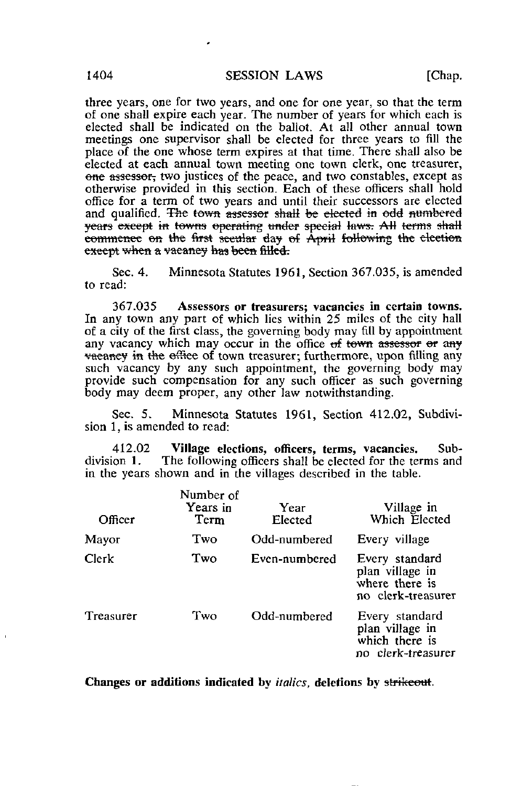three years, one for two years, and one for one year, so that the term of one shall expire each year. The number of years for which each is elected shall be indicated on the ballot. At all other annual town meetings one supervisor shall be elected for three years to fill the place of the one whose term expires at that time. There shall also be elected at each annual town meeting one town clerk, one treasurer, one assessor, two justices of the peace, and two constables, except as otherwise provided in this section. Each of these officers shall hold office for a term of two years and until their successors are elected and qualified. The town assessor shall be elected in odd numbered years except in towns operating under special laws. All terms shall commence on the first secular day of April following the election except when a vacancy has been filled.

Sec. 4. Minnesota Statutes 1961, Section 367.035, is amended to read:

367.035 Assessors or treasurers; vacancies in certain towns. In any town any part of which lies within 25 miles of the city hall of a city of the first class, the governing body may fill by appointment any vacancy which may occur in the office  $\Theta$  tewn assessor  $\Theta$  any vaeaney in the office of town treasurer; furthermore, upon filling any such vacancy by any such appointment, the governing body may provide such compensation for any such officer as such governing body may deem proper, any other law notwithstanding.

Sec. 5. Minnesota Statutes 1961, Section 412.02, Subdivision 1, is amended to read:

412.02 Village elections, officers, terms, vacancies. Sub-<br>division 1. The following officers shall be elected for the terms and The following officers shall be elected for the terms and in the years shown and in the villages described in the table.

| Officer   | Number of<br>Years in<br>Term | Year<br>Elected | Village in<br>Which Elected                                               |
|-----------|-------------------------------|-----------------|---------------------------------------------------------------------------|
| Mayor     | Two                           | Odd-numbered    | Every village                                                             |
| Clerk     | Two                           | Even-numbered   | Every standard<br>plan village in<br>where there is<br>no clerk-treasurer |
| Treasurer | Two                           | Odd-numbered    | Every standard<br>plan village in<br>which there is<br>no clerk-treasurer |